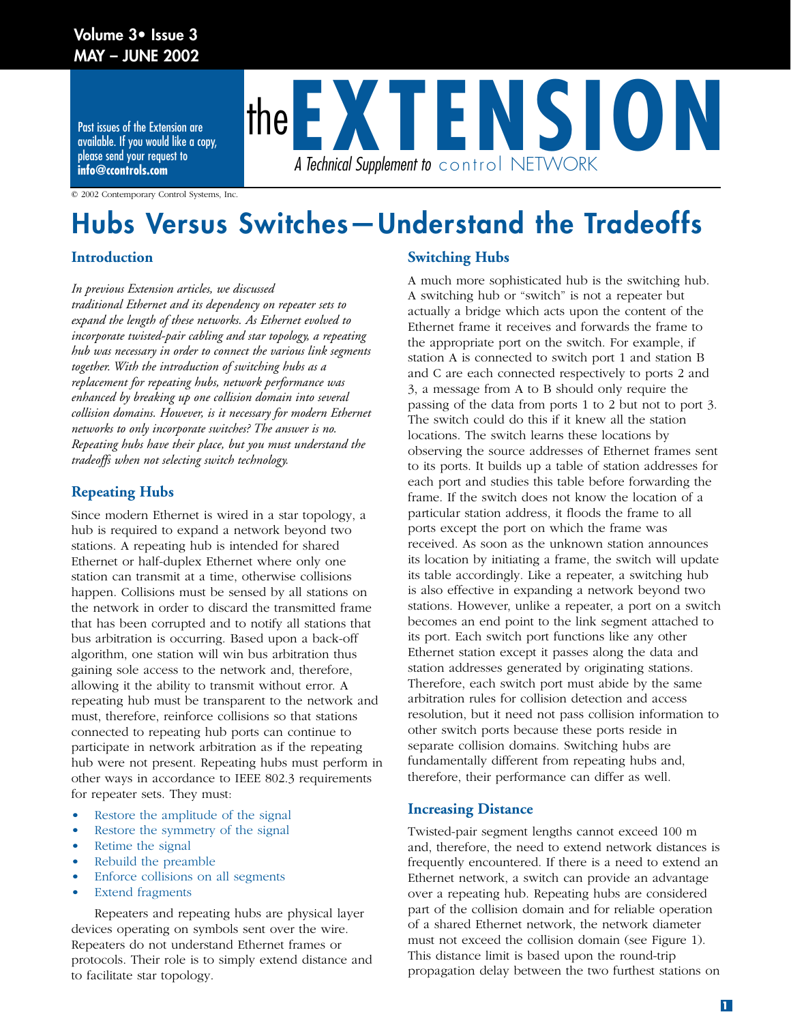## **Volume 3• Issue 3 MAY – JUNE 2002**

Past issues of the Extension are available. If you would like a copy, please send your request to **info@ccontrols.com**



© 2002 Contemporary Control Systems, Inc.

# **Hubs Versus Switches—Understand the Tradeoffs**

## **Introduction**

*In previous Extension articles, we discussed* 

*traditional Ethernet and its dependency on repeater sets to expand the length of these networks. As Ethernet evolved to incorporate twisted-pair cabling and star topology, a repeating hub was necessary in order to connect the various link segments together. With the introduction of switching hubs as a replacement for repeating hubs, network performance was enhanced by breaking up one collision domain into several collision domains. However, is it necessary for modern Ethernet networks to only incorporate switches? The answer is no. Repeating hubs have their place, but you must understand the tradeoffs when not selecting switch technology.* 

## **Repeating Hubs**

Since modern Ethernet is wired in a star topology, a hub is required to expand a network beyond two stations. A repeating hub is intended for shared Ethernet or half-duplex Ethernet where only one station can transmit at a time, otherwise collisions happen. Collisions must be sensed by all stations on the network in order to discard the transmitted frame that has been corrupted and to notify all stations that bus arbitration is occurring. Based upon a back-off algorithm, one station will win bus arbitration thus gaining sole access to the network and, therefore, allowing it the ability to transmit without error. A repeating hub must be transparent to the network and must, therefore, reinforce collisions so that stations connected to repeating hub ports can continue to participate in network arbitration as if the repeating hub were not present. Repeating hubs must perform in other ways in accordance to IEEE 802.3 requirements for repeater sets. They must:

- Restore the amplitude of the signal
- Restore the symmetry of the signal
- Retime the signal
- Rebuild the preamble
- Enforce collisions on all segments
- **Extend fragments**

Repeaters and repeating hubs are physical layer devices operating on symbols sent over the wire. Repeaters do not understand Ethernet frames or protocols. Their role is to simply extend distance and to facilitate star topology.

## **Switching Hubs**

A much more sophisticated hub is the switching hub. A switching hub or "switch" is not a repeater but actually a bridge which acts upon the content of the Ethernet frame it receives and forwards the frame to the appropriate port on the switch. For example, if station A is connected to switch port 1 and station B and C are each connected respectively to ports 2 and 3, a message from A to B should only require the passing of the data from ports 1 to 2 but not to port 3. The switch could do this if it knew all the station locations. The switch learns these locations by observing the source addresses of Ethernet frames sent to its ports. It builds up a table of station addresses for each port and studies this table before forwarding the frame. If the switch does not know the location of a particular station address, it floods the frame to all ports except the port on which the frame was received. As soon as the unknown station announces its location by initiating a frame, the switch will update its table accordingly. Like a repeater, a switching hub is also effective in expanding a network beyond two stations. However, unlike a repeater, a port on a switch becomes an end point to the link segment attached to its port. Each switch port functions like any other Ethernet station except it passes along the data and station addresses generated by originating stations. Therefore, each switch port must abide by the same arbitration rules for collision detection and access resolution, but it need not pass collision information to other switch ports because these ports reside in separate collision domains. Switching hubs are fundamentally different from repeating hubs and, therefore, their performance can differ as well.

### **Increasing Distance**

Twisted-pair segment lengths cannot exceed 100 m and, therefore, the need to extend network distances is frequently encountered. If there is a need to extend an Ethernet network, a switch can provide an advantage over a repeating hub. Repeating hubs are considered part of the collision domain and for reliable operation of a shared Ethernet network, the network diameter must not exceed the collision domain (see Figure 1). This distance limit is based upon the round-trip propagation delay between the two furthest stations on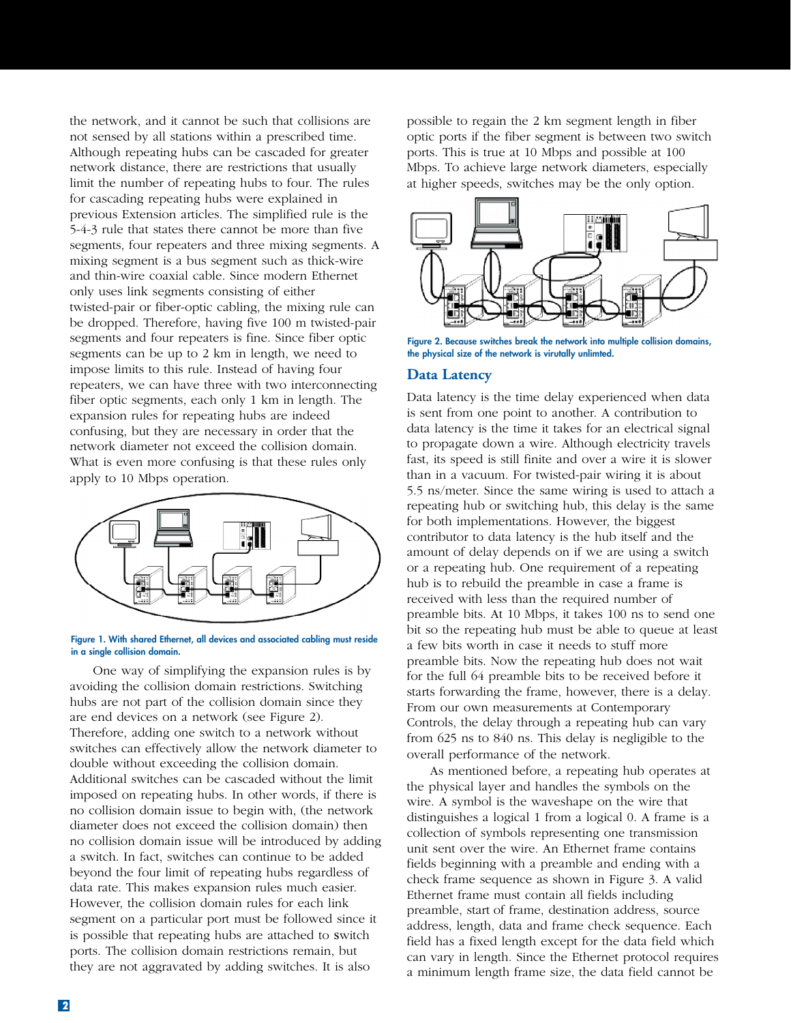the network, and it cannot be such that collisions are not sensed by all stations within a prescribed time. Although repeating hubs can be cascaded for greater network distance, there are restrictions that usually limit the number of repeating hubs to four. The rules for cascading repeating hubs were explained in previous Extension articles. The simplified rule is the 5-4-3 rule that states there cannot be more than five segments, four repeaters and three mixing segments. A mixing segment is a bus segment such as thick-wire and thin-wire coaxial cable. Since modern Ethernet only uses link segments consisting of either twisted-pair or fiber-optic cabling, the mixing rule can be dropped. Therefore, having five 100 m twisted-pair segments and four repeaters is fine. Since fiber optic segments can be up to 2 km in length, we need to impose limits to this rule. Instead of having four repeaters, we can have three with two interconnecting fiber optic segments, each only 1 km in length. The expansion rules for repeating hubs are indeed confusing, but they are necessary in order that the network diameter not exceed the collision domain. What is even more confusing is that these rules only apply to 10 Mbps operation.



#### **Figure 1. With shared Ethernet, all devices and associated cabling must reside in a single collision domain.**

One way of simplifying the expansion rules is by avoiding the collision domain restrictions. Switching hubs are not part of the collision domain since they are end devices on a network (see Figure 2). Therefore, adding one switch to a network without switches can effectively allow the network diameter to double without exceeding the collision domain. Additional switches can be cascaded without the limit imposed on repeating hubs. In other words, if there is no collision domain issue to begin with, (the network diameter does not exceed the collision domain) then no collision domain issue will be introduced by adding a switch. In fact, switches can continue to be added beyond the four limit of repeating hubs regardless of data rate. This makes expansion rules much easier. However, the collision domain rules for each link segment on a particular port must be followed since it is possible that repeating hubs are attached to switch ports. The collision domain restrictions remain, but they are not aggravated by adding switches. It is also

possible to regain the 2 km segment length in fiber optic ports if the fiber segment is between two switch ports. This is true at 10 Mbps and possible at 100 Mbps. To achieve large network diameters, especially at higher speeds, switches may be the only option.



**Figure 2. Because switches break the network into multiple collision domains, the physical size of the network is virutally unlimted.**

### **Data Latency**

Data latency is the time delay experienced when data is sent from one point to another. A contribution to data latency is the time it takes for an electrical signal to propagate down a wire. Although electricity travels fast, its speed is still finite and over a wire it is slower than in a vacuum. For twisted-pair wiring it is about 5.5 ns/meter. Since the same wiring is used to attach a repeating hub or switching hub, this delay is the same for both implementations. However, the biggest contributor to data latency is the hub itself and the amount of delay depends on if we are using a switch or a repeating hub. One requirement of a repeating hub is to rebuild the preamble in case a frame is received with less than the required number of preamble bits. At 10 Mbps, it takes 100 ns to send one bit so the repeating hub must be able to queue at least a few bits worth in case it needs to stuff more preamble bits. Now the repeating hub does not wait for the full 64 preamble bits to be received before it starts forwarding the frame, however, there is a delay. From our own measurements at Contemporary Controls, the delay through a repeating hub can vary from 625 ns to 840 ns. This delay is negligible to the overall performance of the network.

As mentioned before, a repeating hub operates at the physical layer and handles the symbols on the wire. A symbol is the waveshape on the wire that distinguishes a logical 1 from a logical 0. A frame is a collection of symbols representing one transmission unit sent over the wire. An Ethernet frame contains fields beginning with a preamble and ending with a check frame sequence as shown in Figure 3. A valid Ethernet frame must contain all fields including preamble, start of frame, destination address, source address, length, data and frame check sequence. Each field has a fixed length except for the data field which can vary in length. Since the Ethernet protocol requires a minimum length frame size, the data field cannot be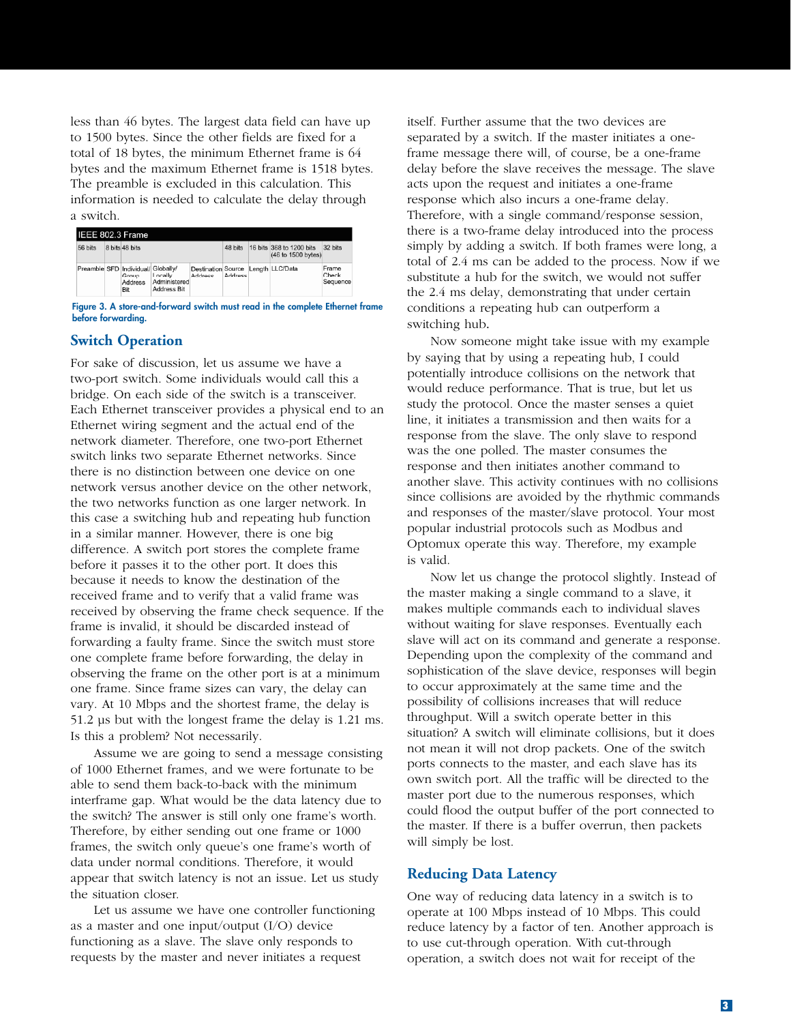less than 46 bytes. The largest data field can have up to 1500 bytes. Since the other fields are fixed for a total of 18 bytes, the minimum Ethernet frame is 64 bytes and the maximum Ethernet frame is 1518 bytes. The preamble is excluded in this calculation. This information is needed to calculate the delay through a switch.

| IEEE 802.3 Frame |  |                                                               |                                               |                                                      |                |  |                                                |                            |  |
|------------------|--|---------------------------------------------------------------|-----------------------------------------------|------------------------------------------------------|----------------|--|------------------------------------------------|----------------------------|--|
| 56 bits          |  | 8 bits 48 bits                                                |                                               |                                                      | 48 bits        |  | 16 bits 368 to 1200 bits<br>(46 to 1500 bytes) | 32 bits                    |  |
|                  |  | Preamble SFD Individual/ Globally/<br>Group<br>Address<br>Bit | Locally<br>Administered<br><b>Address Bit</b> | Destination Source Length LLC/Data<br><b>Address</b> | <b>Address</b> |  |                                                | Frame<br>Check<br>Sequence |  |

**Figure 3. A store-and-forward switch must read in the complete Ethernet frame before forwarding.**

#### **Switch Operation**

For sake of discussion, let us assume we have a two-port switch. Some individuals would call this a bridge. On each side of the switch is a transceiver. Each Ethernet transceiver provides a physical end to an Ethernet wiring segment and the actual end of the network diameter. Therefore, one two-port Ethernet switch links two separate Ethernet networks. Since there is no distinction between one device on one network versus another device on the other network, the two networks function as one larger network. In this case a switching hub and repeating hub function in a similar manner. However, there is one big difference. A switch port stores the complete frame before it passes it to the other port. It does this because it needs to know the destination of the received frame and to verify that a valid frame was received by observing the frame check sequence. If the frame is invalid, it should be discarded instead of forwarding a faulty frame. Since the switch must store one complete frame before forwarding, the delay in observing the frame on the other port is at a minimum one frame. Since frame sizes can vary, the delay can vary. At 10 Mbps and the shortest frame, the delay is 51.2 µs but with the longest frame the delay is 1.21 ms. Is this a problem? Not necessarily.

Assume we are going to send a message consisting of 1000 Ethernet frames, and we were fortunate to be able to send them back-to-back with the minimum interframe gap. What would be the data latency due to the switch? The answer is still only one frame's worth. Therefore, by either sending out one frame or 1000 frames, the switch only queue's one frame's worth of data under normal conditions. Therefore, it would appear that switch latency is not an issue. Let us study the situation closer.

Let us assume we have one controller functioning as a master and one input/output (I/O) device functioning as a slave. The slave only responds to requests by the master and never initiates a request

itself. Further assume that the two devices are separated by a switch. If the master initiates a oneframe message there will, of course, be a one-frame delay before the slave receives the message. The slave acts upon the request and initiates a one-frame response which also incurs a one-frame delay. Therefore, with a single command/response session, there is a two-frame delay introduced into the process simply by adding a switch. If both frames were long, a total of 2.4 ms can be added to the process. Now if we substitute a hub for the switch, we would not suffer the 2.4 ms delay, demonstrating that under certain conditions a repeating hub can outperform a switching hub.

Now someone might take issue with my example by saying that by using a repeating hub, I could potentially introduce collisions on the network that would reduce performance. That is true, but let us study the protocol. Once the master senses a quiet line, it initiates a transmission and then waits for a response from the slave. The only slave to respond was the one polled. The master consumes the response and then initiates another command to another slave. This activity continues with no collisions since collisions are avoided by the rhythmic commands and responses of the master/slave protocol. Your most popular industrial protocols such as Modbus and Optomux operate this way. Therefore, my example is valid.

Now let us change the protocol slightly. Instead of the master making a single command to a slave, it makes multiple commands each to individual slaves without waiting for slave responses. Eventually each slave will act on its command and generate a response. Depending upon the complexity of the command and sophistication of the slave device, responses will begin to occur approximately at the same time and the possibility of collisions increases that will reduce throughput. Will a switch operate better in this situation? A switch will eliminate collisions, but it does not mean it will not drop packets. One of the switch ports connects to the master, and each slave has its own switch port. All the traffic will be directed to the master port due to the numerous responses, which could flood the output buffer of the port connected to the master. If there is a buffer overrun, then packets will simply be lost.

#### **Reducing Data Latency**

One way of reducing data latency in a switch is to operate at 100 Mbps instead of 10 Mbps. This could reduce latency by a factor of ten. Another approach is to use cut-through operation. With cut-through operation, a switch does not wait for receipt of the